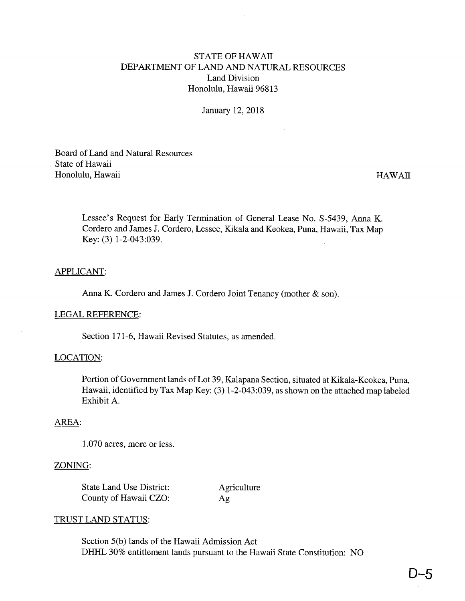# STATE OF HAWAII DEPARTMENT OF LAND AND NATURAL RESOURCES Land Division Honolulu, Hawaii 96813

January 12, 2018

Board of Land and Natural Resources State of Hawaii Honolulu, Hawaii HAWAII

Lessee's Request for Early Termination of General Lease No. S-5439, Anna K. Cordero and James J. Cordero, Lessee, Kikala and Keokea, Puna, Hawaii, Tax Map Key: (3) 1-2-043:039.

# APPLICANT:

Anna K. Cordero and James J. Cordero Joint Tenancy (mother & son).

#### LEGAL REFERENCE:

Section 171-6, Hawaii Revised Statutes, as amended.

# LOCATION:

Portion of Government lands of Lot 39, Kalapana Section, situated at Kikala-Keokea, Puna, Hawaii, identified by Tax Map Key: (3) 1-2-043:039, as shown on the attached map labeled Exhibit A.

# AREA:

1.070 acres, more or less.

#### ZONING:

State Land Use District: Agriculture County of Hawaii CZO: Ag

# TRUST LAND STATUS:

Section 5(b) lands of the Hawaii Admission Act DHHL 30% entitlement lands pursuant to the Hawaii State Constitution: NO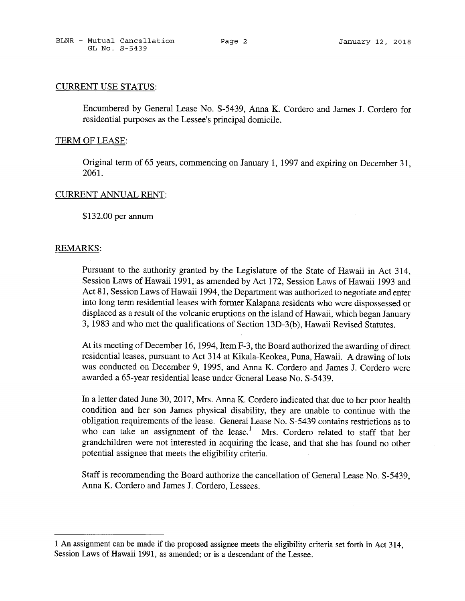#### CURRENT USE STATUS:

Encumbered by General Lease No. <sup>S</sup> -5439, Anna K. Cordero and James J. Cordero for residential purposes as the Lessee's principal domicile.

#### TERM OF LEASE:

Original term of 65 years, commencing on January 1, 1997 and expiring on December 31, 2061.

#### CURRENT ANNUAL RENT:

\$132.00 per annum

#### REMARKS:

Pursuant to the authority granted by the Legislature of the State of Hawaii in Act 314, Session Laws of Hawaii 1991, as amended by Act 172, Session Laws of Hawaii 1993 and Act 81, Session Laws of Hawaii 1994, the Department was authorized to negotiate and enter into long term residential leases with former Kalapana residents who were dispossessed or displaced as a result of the volcanic eruptions on the island of Hawaii, which began January 3, 1983 and who met the qualifications of Section 13D-3(b), Hawaii Revised Statutes.

At its meeting of December 16, 1994, Item F-3, the Board authorized the awarding of direct residential leases, pursuant to Act 314 at Kikala-Keokea, Puna, Hawaii. A drawing of lots was conducted on December 9, 1995, and Anna K. Cordero and James J. Cordero were awarded a 65-year residential lease under General Lease No. S-5439.

In a letter dated June 30, 2017, Mrs. Anna K. Cordero indicated that due to her poor health condition and her son James physical disability, they are unable to continue with the obligation requirements of the lease. General Lease No. S-5439 contains restrictions as to who can take an assignment of the lease.<sup>1</sup> Mrs. Cordero related to staff that her grandchildren were not interested in acquiring the lease, and that she has found no other potential assignee that meets the eligibility criteria.

Staff is recommending the Board authorize the cancellation of General Lease No. S-5439, Anna K. Cordero and James J. Cordero, Lessees.

<sup>1</sup> An assignment can be made if the proposed assignee meets the eligibility criteria set forth in Act 314, Session Laws of Hawaii 1991, as amended; or is <sup>a</sup> descendant of the Lessee.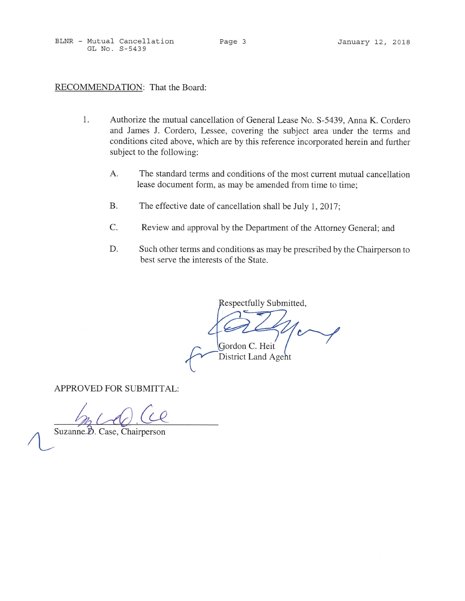BLNR - Mutual Cancellation Page <sup>3</sup> January 12, 2018 GL No. S-5439

# RECOMMENDATION: That the Board:

- 1. Authorize the mutual cancellation of General Lease No. S-5439, Anna K. Cordero and James J. Cordero, Lessee, covering the subject area under the terms and conditions cited above, which are by this reference incorporated herein and further subject to the following:
	- A. The standard terms and conditions of the most current mutual cancellation lease document form, as may be amended from time to time;
	- B. The effective date of cancellation shall be July 1, 2017;
	- C. Review and approval by the Department of the Attorney General; and
	- D. Such other terms and conditions as may be prescribed by the Chairperson to best serve the interests of the State.

Respectfully Submitted,

Gordon C. Heit

District Land Agent

APPROVED FOR SUBMITTAL:

 $\overline{\mathscr{U}}$ 

Suzanne D. Case, Chairperson